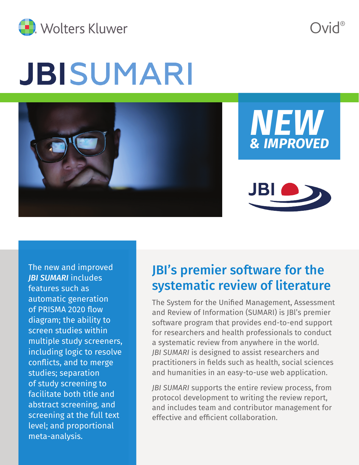

JBISUMARI



Ovid®



The new and improved *JBI SUMARI* includes features such as automatic generation of PRISMA 2020 flow diagram; the ability to screen studies within multiple study screeners, including logic to resolve conflicts, and to merge studies; separation of study screening to facilitate both title and abstract screening, and screening at the full text level; and proportional meta-analysis.

# JBI's premier software for the systematic review of literature

The System for the Unified Management, Assessment and Review of Information (SUMARI) is JBl's premier software program that provides end-to-end support for researchers and health professionals to conduct a systematic review from anywhere in the world. *JBI SUMARI* is designed to assist researchers and practitioners in fields such as health, social sciences and humanities in an easy-to-use web application.

*JBI SUMARI* supports the entire review process, from protocol development to writing the review report, and includes team and contributor management for effective and efficient collaboration.